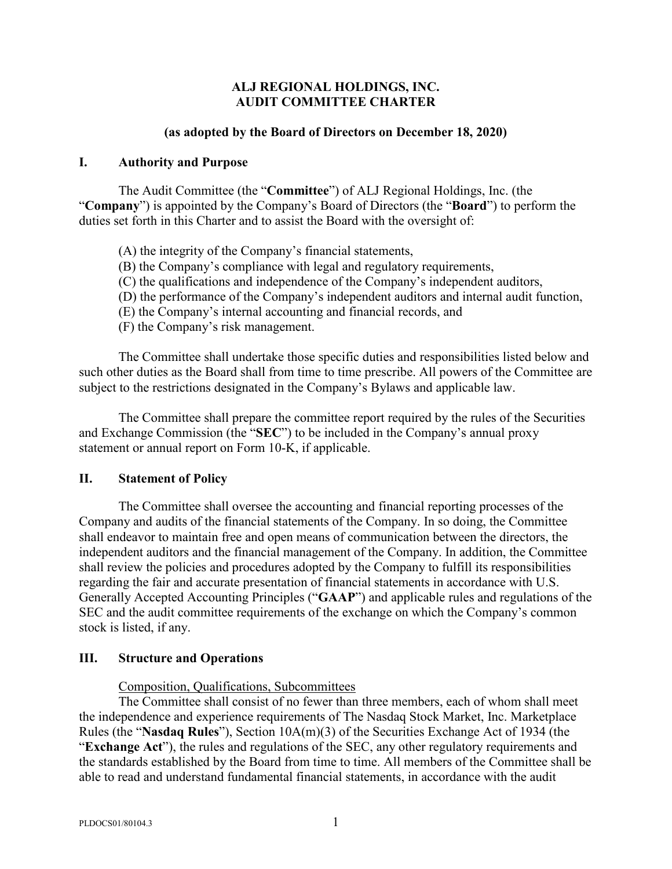## **ALJ REGIONAL HOLDINGS, INC. AUDIT COMMITTEE CHARTER**

#### **(as adopted by the Board of Directors on December 18, 2020)**

#### **I. Authority and Purpose**

The Audit Committee (the "**Committee**") of ALJ Regional Holdings, Inc. (the "**Company**") is appointed by the Company's Board of Directors (the "**Board**") to perform the duties set forth in this Charter and to assist the Board with the oversight of:

- (A) the integrity of the Company's financial statements,
- (B) the Company's compliance with legal and regulatory requirements,
- (C) the qualifications and independence of the Company's independent auditors,
- (D) the performance of the Company's independent auditors and internal audit function,
- (E) the Company's internal accounting and financial records, and
- (F) the Company's risk management.

The Committee shall undertake those specific duties and responsibilities listed below and such other duties as the Board shall from time to time prescribe. All powers of the Committee are subject to the restrictions designated in the Company's Bylaws and applicable law.

The Committee shall prepare the committee report required by the rules of the Securities and Exchange Commission (the "**SEC**") to be included in the Company's annual proxy statement or annual report on Form 10-K, if applicable.

## **II. Statement of Policy**

The Committee shall oversee the accounting and financial reporting processes of the Company and audits of the financial statements of the Company. In so doing, the Committee shall endeavor to maintain free and open means of communication between the directors, the independent auditors and the financial management of the Company. In addition, the Committee shall review the policies and procedures adopted by the Company to fulfill its responsibilities regarding the fair and accurate presentation of financial statements in accordance with U.S. Generally Accepted Accounting Principles ("**GAAP**") and applicable rules and regulations of the SEC and the audit committee requirements of the exchange on which the Company's common stock is listed, if any.

## **III. Structure and Operations**

Composition, Qualifications, Subcommittees

The Committee shall consist of no fewer than three members, each of whom shall meet the independence and experience requirements of The Nasdaq Stock Market, Inc. Marketplace Rules (the "**Nasdaq Rules**"), Section 10A(m)(3) of the Securities Exchange Act of 1934 (the "**Exchange Act**"), the rules and regulations of the SEC, any other regulatory requirements and the standards established by the Board from time to time. All members of the Committee shall be able to read and understand fundamental financial statements, in accordance with the audit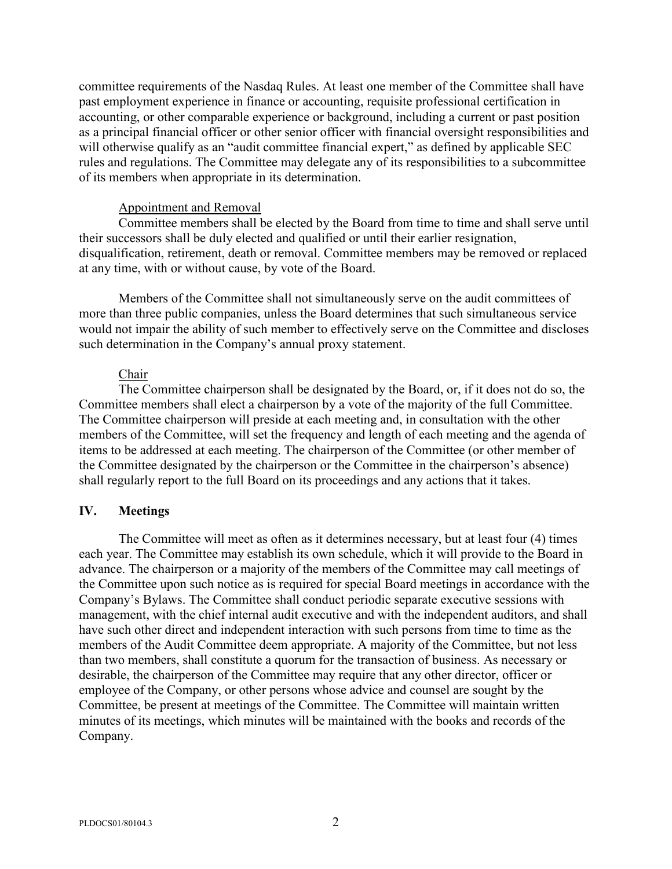committee requirements of the Nasdaq Rules. At least one member of the Committee shall have past employment experience in finance or accounting, requisite professional certification in accounting, or other comparable experience or background, including a current or past position as a principal financial officer or other senior officer with financial oversight responsibilities and will otherwise qualify as an "audit committee financial expert," as defined by applicable SEC rules and regulations. The Committee may delegate any of its responsibilities to a subcommittee of its members when appropriate in its determination.

#### Appointment and Removal

Committee members shall be elected by the Board from time to time and shall serve until their successors shall be duly elected and qualified or until their earlier resignation, disqualification, retirement, death or removal. Committee members may be removed or replaced at any time, with or without cause, by vote of the Board.

Members of the Committee shall not simultaneously serve on the audit committees of more than three public companies, unless the Board determines that such simultaneous service would not impair the ability of such member to effectively serve on the Committee and discloses such determination in the Company's annual proxy statement.

## Chair

The Committee chairperson shall be designated by the Board, or, if it does not do so, the Committee members shall elect a chairperson by a vote of the majority of the full Committee. The Committee chairperson will preside at each meeting and, in consultation with the other members of the Committee, will set the frequency and length of each meeting and the agenda of items to be addressed at each meeting. The chairperson of the Committee (or other member of the Committee designated by the chairperson or the Committee in the chairperson's absence) shall regularly report to the full Board on its proceedings and any actions that it takes.

## **IV. Meetings**

The Committee will meet as often as it determines necessary, but at least four (4) times each year. The Committee may establish its own schedule, which it will provide to the Board in advance. The chairperson or a majority of the members of the Committee may call meetings of the Committee upon such notice as is required for special Board meetings in accordance with the Company's Bylaws. The Committee shall conduct periodic separate executive sessions with management, with the chief internal audit executive and with the independent auditors, and shall have such other direct and independent interaction with such persons from time to time as the members of the Audit Committee deem appropriate. A majority of the Committee, but not less than two members, shall constitute a quorum for the transaction of business. As necessary or desirable, the chairperson of the Committee may require that any other director, officer or employee of the Company, or other persons whose advice and counsel are sought by the Committee, be present at meetings of the Committee. The Committee will maintain written minutes of its meetings, which minutes will be maintained with the books and records of the Company.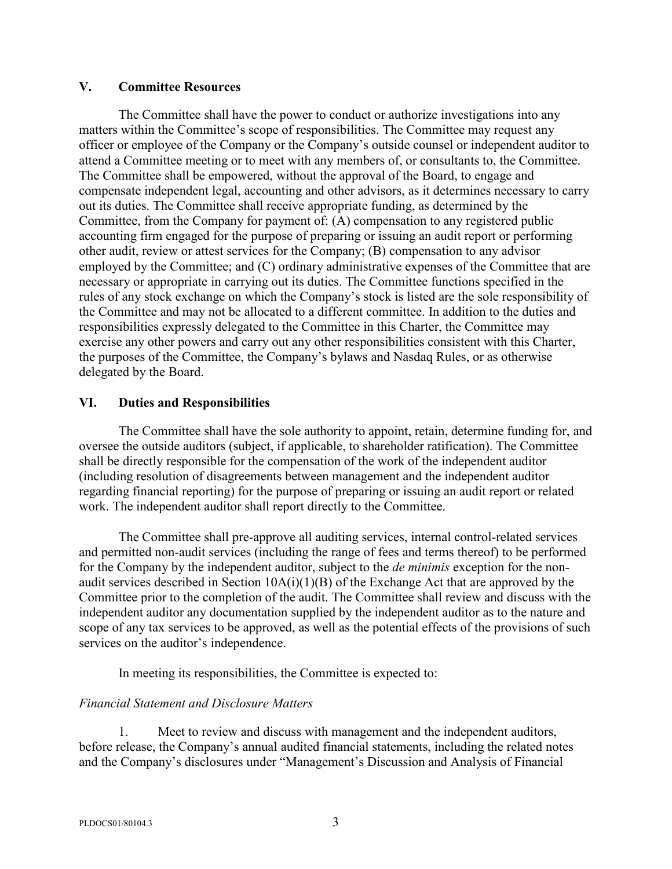#### **V. Committee Resources**

The Committee shall have the power to conduct or authorize investigations into any matters within the Committee's scope of responsibilities. The Committee may request any officer or employee of the Company or the Company's outside counsel or independent auditor to attend a Committee meeting or to meet with any members of, or consultants to, the Committee. The Committee shall be empowered, without the approval of the Board, to engage and compensate independent legal, accounting and other advisors, as it determines necessary to carry out its duties. The Committee shall receive appropriate funding, as determined by the Committee, from the Company for payment of: (A) compensation to any registered public accounting firm engaged for the purpose of preparing or issuing an audit report or performing other audit, review or attest services for the Company; (B) compensation to any advisor employed by the Committee; and (C) ordinary administrative expenses of the Committee that are necessary or appropriate in carrying out its duties. The Committee functions specified in the rules of any stock exchange on which the Company's stock is listed are the sole responsibility of the Committee and may not be allocated to a different committee. In addition to the duties and responsibilities expressly delegated to the Committee in this Charter, the Committee may exercise any other powers and carry out any other responsibilities consistent with this Charter, the purposes of the Committee, the Company's bylaws and Nasdaq Rules, or as otherwise delegated by the Board.

## **VI. Duties and Responsibilities**

The Committee shall have the sole authority to appoint, retain, determine funding for, and oversee the outside auditors (subject, if applicable, to shareholder ratification). The Committee shall be directly responsible for the compensation of the work of the independent auditor (including resolution of disagreements between management and the independent auditor regarding financial reporting) for the purpose of preparing or issuing an audit report or related work. The independent auditor shall report directly to the Committee.

The Committee shall pre-approve all auditing services, internal control-related services and permitted non-audit services (including the range of fees and terms thereof) to be performed for the Company by the independent auditor, subject to the *de minimis* exception for the nonaudit services described in Section 10A(i)(1)(B) of the Exchange Act that are approved by the Committee prior to the completion of the audit. The Committee shall review and discuss with the independent auditor any documentation supplied by the independent auditor as to the nature and scope of any tax services to be approved, as well as the potential effects of the provisions of such services on the auditor's independence.

In meeting its responsibilities, the Committee is expected to:

# *Financial Statement and Disclosure Matters*

1. Meet to review and discuss with management and the independent auditors, before release, the Company's annual audited financial statements, including the related notes and the Company's disclosures under "Management's Discussion and Analysis of Financial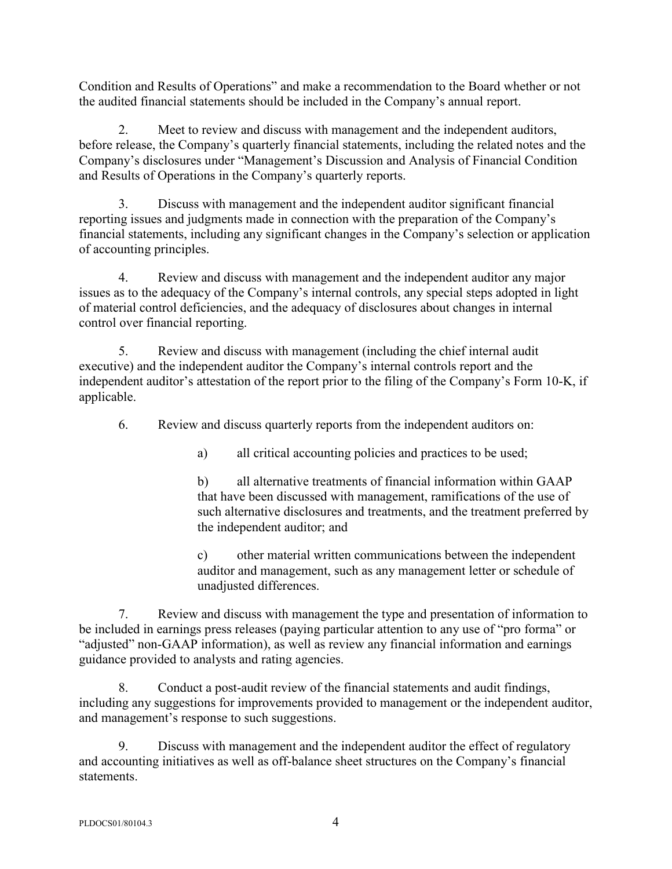Condition and Results of Operations" and make a recommendation to the Board whether or not the audited financial statements should be included in the Company's annual report.

2. Meet to review and discuss with management and the independent auditors, before release, the Company's quarterly financial statements, including the related notes and the Company's disclosures under "Management's Discussion and Analysis of Financial Condition and Results of Operations in the Company's quarterly reports.

3. Discuss with management and the independent auditor significant financial reporting issues and judgments made in connection with the preparation of the Company's financial statements, including any significant changes in the Company's selection or application of accounting principles.

4. Review and discuss with management and the independent auditor any major issues as to the adequacy of the Company's internal controls, any special steps adopted in light of material control deficiencies, and the adequacy of disclosures about changes in internal control over financial reporting.

5. Review and discuss with management (including the chief internal audit executive) and the independent auditor the Company's internal controls report and the independent auditor's attestation of the report prior to the filing of the Company's Form 10-K, if applicable.

6. Review and discuss quarterly reports from the independent auditors on:

a) all critical accounting policies and practices to be used;

b) all alternative treatments of financial information within GAAP that have been discussed with management, ramifications of the use of such alternative disclosures and treatments, and the treatment preferred by the independent auditor; and

c) other material written communications between the independent auditor and management, such as any management letter or schedule of unadjusted differences.

7. Review and discuss with management the type and presentation of information to be included in earnings press releases (paying particular attention to any use of "pro forma" or "adjusted" non-GAAP information), as well as review any financial information and earnings guidance provided to analysts and rating agencies.

8. Conduct a post-audit review of the financial statements and audit findings, including any suggestions for improvements provided to management or the independent auditor, and management's response to such suggestions.

9. Discuss with management and the independent auditor the effect of regulatory and accounting initiatives as well as off-balance sheet structures on the Company's financial statements.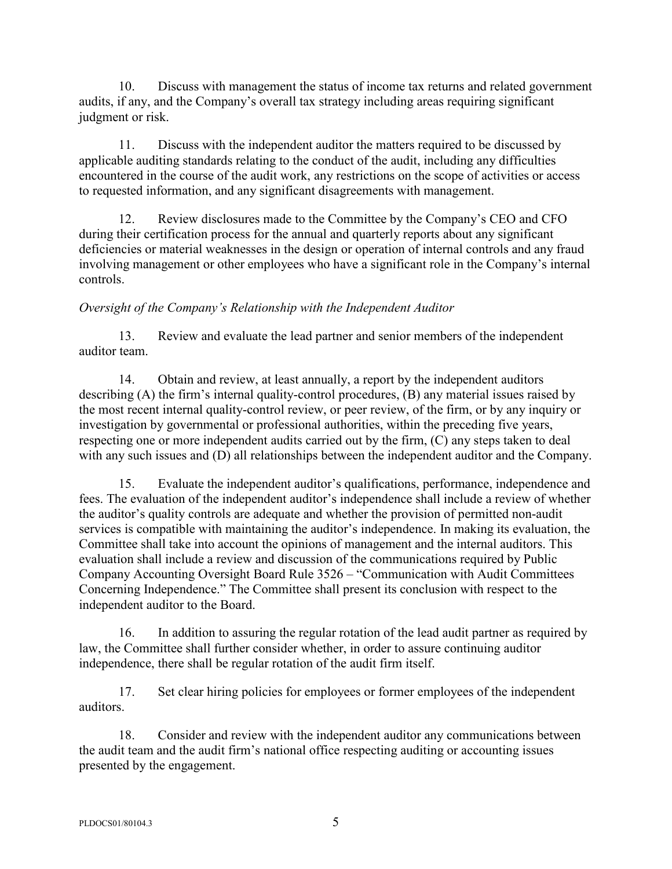10. Discuss with management the status of income tax returns and related government audits, if any, and the Company's overall tax strategy including areas requiring significant judgment or risk.

11. Discuss with the independent auditor the matters required to be discussed by applicable auditing standards relating to the conduct of the audit, including any difficulties encountered in the course of the audit work, any restrictions on the scope of activities or access to requested information, and any significant disagreements with management.

12. Review disclosures made to the Committee by the Company's CEO and CFO during their certification process for the annual and quarterly reports about any significant deficiencies or material weaknesses in the design or operation of internal controls and any fraud involving management or other employees who have a significant role in the Company's internal controls.

# *Oversight of the Company's Relationship with the Independent Auditor*

13. Review and evaluate the lead partner and senior members of the independent auditor team.

14. Obtain and review, at least annually, a report by the independent auditors describing (A) the firm's internal quality-control procedures, (B) any material issues raised by the most recent internal quality-control review, or peer review, of the firm, or by any inquiry or investigation by governmental or professional authorities, within the preceding five years, respecting one or more independent audits carried out by the firm, (C) any steps taken to deal with any such issues and (D) all relationships between the independent auditor and the Company.

15. Evaluate the independent auditor's qualifications, performance, independence and fees. The evaluation of the independent auditor's independence shall include a review of whether the auditor's quality controls are adequate and whether the provision of permitted non-audit services is compatible with maintaining the auditor's independence. In making its evaluation, the Committee shall take into account the opinions of management and the internal auditors. This evaluation shall include a review and discussion of the communications required by Public Company Accounting Oversight Board Rule 3526 – "Communication with Audit Committees Concerning Independence." The Committee shall present its conclusion with respect to the independent auditor to the Board.

16. In addition to assuring the regular rotation of the lead audit partner as required by law, the Committee shall further consider whether, in order to assure continuing auditor independence, there shall be regular rotation of the audit firm itself.

17. Set clear hiring policies for employees or former employees of the independent auditors.

18. Consider and review with the independent auditor any communications between the audit team and the audit firm's national office respecting auditing or accounting issues presented by the engagement.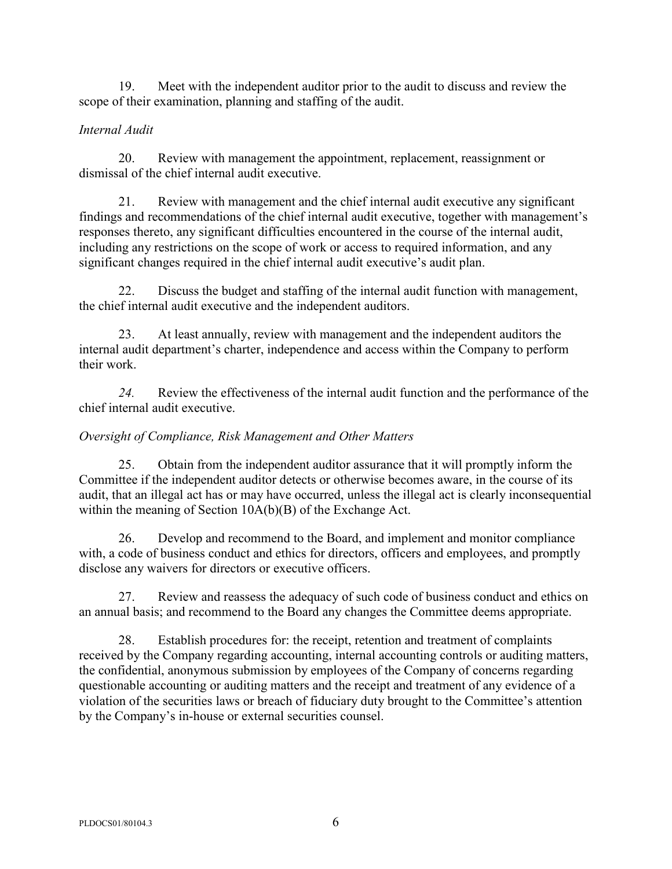19. Meet with the independent auditor prior to the audit to discuss and review the scope of their examination, planning and staffing of the audit.

# *Internal Audit*

20. Review with management the appointment, replacement, reassignment or dismissal of the chief internal audit executive.

21. Review with management and the chief internal audit executive any significant findings and recommendations of the chief internal audit executive, together with management's responses thereto, any significant difficulties encountered in the course of the internal audit, including any restrictions on the scope of work or access to required information, and any significant changes required in the chief internal audit executive's audit plan.

22. Discuss the budget and staffing of the internal audit function with management, the chief internal audit executive and the independent auditors.

23. At least annually, review with management and the independent auditors the internal audit department's charter, independence and access within the Company to perform their work.

*24.* Review the effectiveness of the internal audit function and the performance of the chief internal audit executive.

# *Oversight of Compliance, Risk Management and Other Matters*

25. Obtain from the independent auditor assurance that it will promptly inform the Committee if the independent auditor detects or otherwise becomes aware, in the course of its audit, that an illegal act has or may have occurred, unless the illegal act is clearly inconsequential within the meaning of Section 10A(b)(B) of the Exchange Act.

26. Develop and recommend to the Board, and implement and monitor compliance with, a code of business conduct and ethics for directors, officers and employees, and promptly disclose any waivers for directors or executive officers.

27. Review and reassess the adequacy of such code of business conduct and ethics on an annual basis; and recommend to the Board any changes the Committee deems appropriate.

28. Establish procedures for: the receipt, retention and treatment of complaints received by the Company regarding accounting, internal accounting controls or auditing matters, the confidential, anonymous submission by employees of the Company of concerns regarding questionable accounting or auditing matters and the receipt and treatment of any evidence of a violation of the securities laws or breach of fiduciary duty brought to the Committee's attention by the Company's in-house or external securities counsel.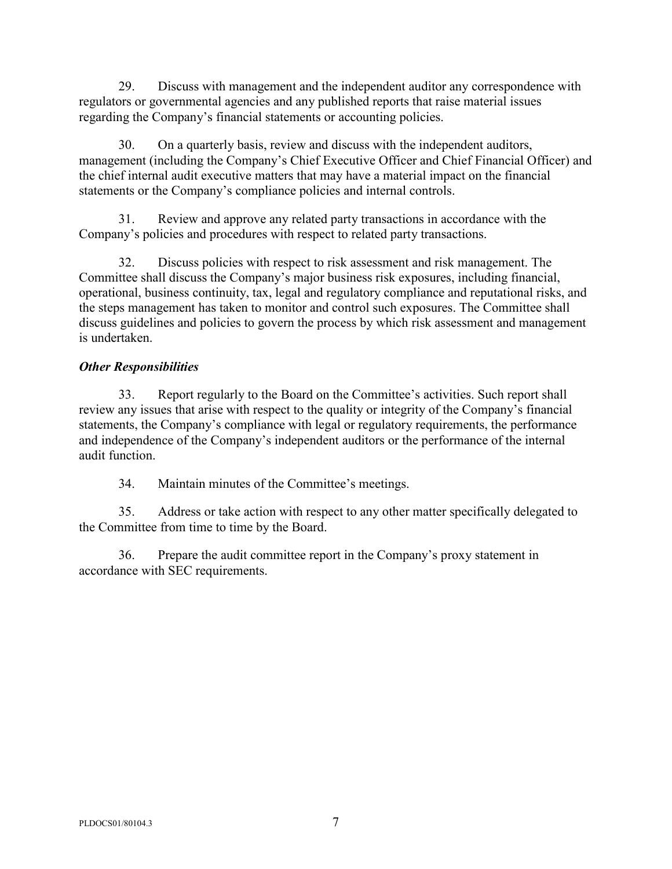29. Discuss with management and the independent auditor any correspondence with regulators or governmental agencies and any published reports that raise material issues regarding the Company's financial statements or accounting policies.

30. On a quarterly basis, review and discuss with the independent auditors, management (including the Company's Chief Executive Officer and Chief Financial Officer) and the chief internal audit executive matters that may have a material impact on the financial statements or the Company's compliance policies and internal controls.

31. Review and approve any related party transactions in accordance with the Company's policies and procedures with respect to related party transactions.

32. Discuss policies with respect to risk assessment and risk management. The Committee shall discuss the Company's major business risk exposures, including financial, operational, business continuity, tax, legal and regulatory compliance and reputational risks, and the steps management has taken to monitor and control such exposures. The Committee shall discuss guidelines and policies to govern the process by which risk assessment and management is undertaken.

# *Other Responsibilities*

33. Report regularly to the Board on the Committee's activities. Such report shall review any issues that arise with respect to the quality or integrity of the Company's financial statements, the Company's compliance with legal or regulatory requirements, the performance and independence of the Company's independent auditors or the performance of the internal audit function.

34. Maintain minutes of the Committee's meetings.

35. Address or take action with respect to any other matter specifically delegated to the Committee from time to time by the Board.

36. Prepare the audit committee report in the Company's proxy statement in accordance with SEC requirements.